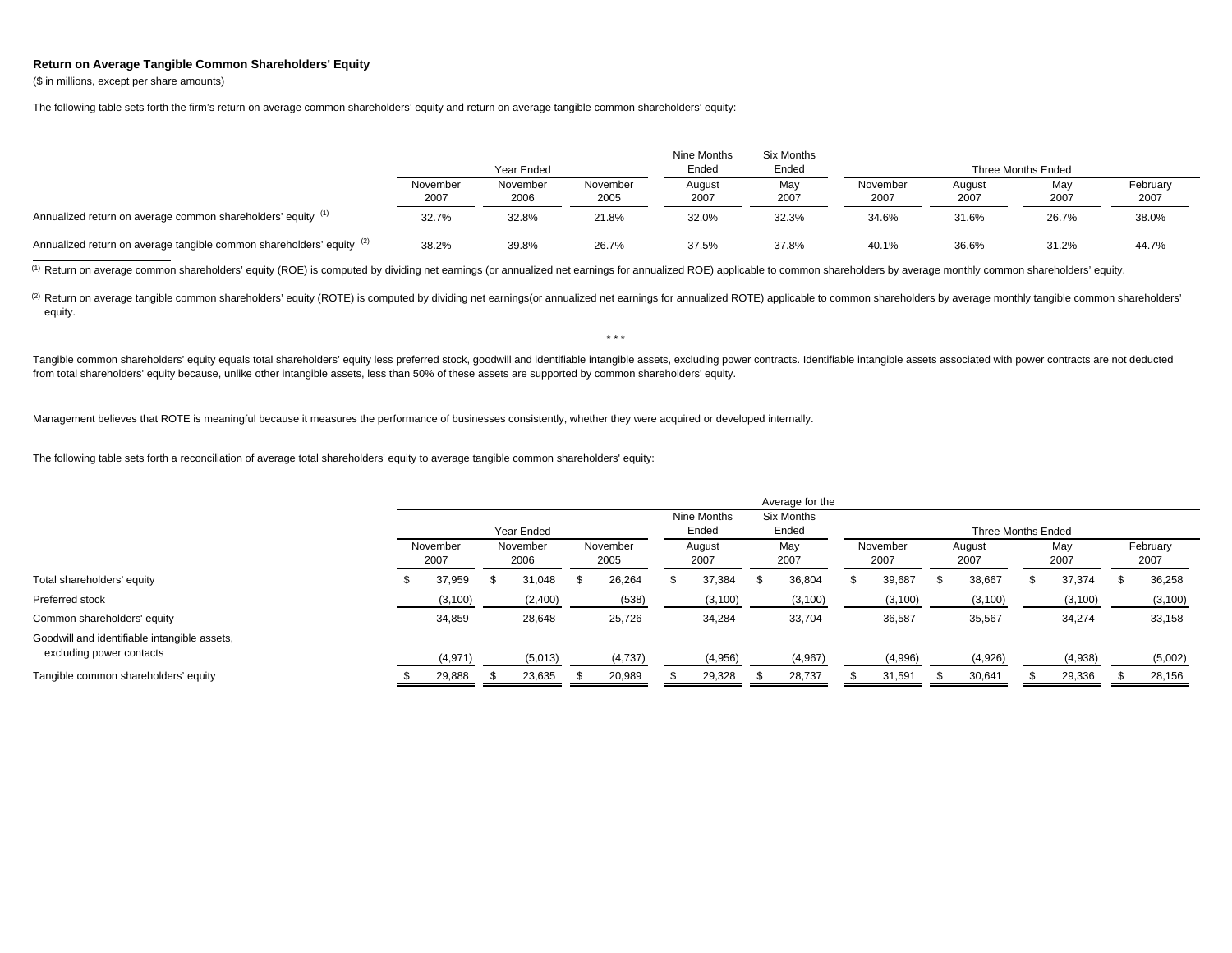## **Return on Average Tangible Common Shareholders' Equity**

(\$ in millions, except per share amounts)

The following table sets forth the firm's return on average common shareholders' equity and return on average tangible common shareholders' equity:

|                                                                       |                  | Year Ended       |                  | Nine Months<br>Ended | Six Months<br>Ended | Three Months Ended |                |             |                  |  |  |  |
|-----------------------------------------------------------------------|------------------|------------------|------------------|----------------------|---------------------|--------------------|----------------|-------------|------------------|--|--|--|
|                                                                       | November<br>2007 | November<br>2006 | November<br>2005 | August<br>2007       | May<br>2007         | November<br>2007   | August<br>2007 | May<br>2007 | February<br>2007 |  |  |  |
| Annualized return on average common shareholders' equity (1)          | 32.7%            | 32.8%            | 21.8%            | 32.0%                | 32.3%               | 34.6%              | 31.6%          | 26.7%       | 38.0%            |  |  |  |
| Annualized return on average tangible common shareholders' equity (2) | 38.2%            | 39.8%            | 26.7%            | 37.5%                | 37.8%               | 40.1%              | 36.6%          | 31.2%       | 44.7%            |  |  |  |

<sup>(1)</sup> Return on average common shareholders' equity (ROE) is computed by dividing net earnings (or annualized net earnings for annualized ROE) applicable to common shareholders by average monthly common shareholders' equit

(2) Return on average tangible common shareholders' equity (ROTE) is computed by dividing net earnings (or annualized net earnings for annualized ROTE) applicable to common shareholders by average monthly tangible common s equity.

\* \* \*

Tangible common shareholders' equity equals total shareholders' equity less preferred stock, goodwill and identifiable intangible assets, excluding power contracts. Identifiable intangible assets associated with power cont from total shareholders' equity because, unlike other intangible assets, less than 50% of these assets are supported by common shareholders' equity.

Management believes that ROTE is meaningful because it measures the performance of businesses consistently, whether they were acquired or developed internally.

The following table sets forth a reconciliation of average total shareholders' equity to average tangible common shareholders' equity:

|                                                                          |   |                  |                  |            |      |                  |  |                |  | Average for the |                  |          |                |                    |             |          |                  |          |
|--------------------------------------------------------------------------|---|------------------|------------------|------------|------|------------------|--|----------------|--|-----------------|------------------|----------|----------------|--------------------|-------------|----------|------------------|----------|
|                                                                          |   |                  |                  |            |      |                  |  | Nine Months    |  | Six Months      |                  |          |                |                    |             |          |                  |          |
|                                                                          |   |                  |                  | Year Ended |      |                  |  | Ended          |  | Ended           |                  |          |                | Three Months Ended |             |          |                  |          |
|                                                                          |   | November<br>2007 | November<br>2006 |            |      | November<br>2005 |  | August<br>2007 |  | Mav<br>2007     | November<br>2007 |          | August<br>2007 |                    | May<br>2007 |          | February<br>2007 |          |
| Total shareholders' equity                                               | ж | 37.959           |                  | 31,048     | - 35 | 26,264           |  | 37,384         |  | 36,804          |                  | 39,687   |                | 38,667             |             | 37,374   |                  | 36,258   |
| Preferred stock                                                          |   | (3, 100)         |                  | (2,400)    |      | (538)            |  | (3, 100)       |  | (3, 100)        |                  | (3, 100) |                | (3, 100)           |             | (3, 100) |                  | (3, 100) |
| Common shareholders' equity                                              |   | 34,859           |                  | 28,648     |      | 25,726           |  | 34,284         |  | 33,704          |                  | 36,587   |                | 35,567             |             | 34,274   |                  | 33,158   |
| Goodwill and identifiable intangible assets,<br>excluding power contacts |   | (4,971)          |                  | (5,013)    |      | (4,737)          |  | (4,956)        |  | (4,967)         |                  | (4,996)  |                | (4,926)            |             | (4,938)  |                  | (5,002)  |
| Tangible common shareholders' equity                                     |   | 29,888           |                  | 23,635     |      | 20,989           |  | 29,328         |  | 28,737          |                  | 31,591   |                | 30,641             |             | 29,336   |                  | 28,156   |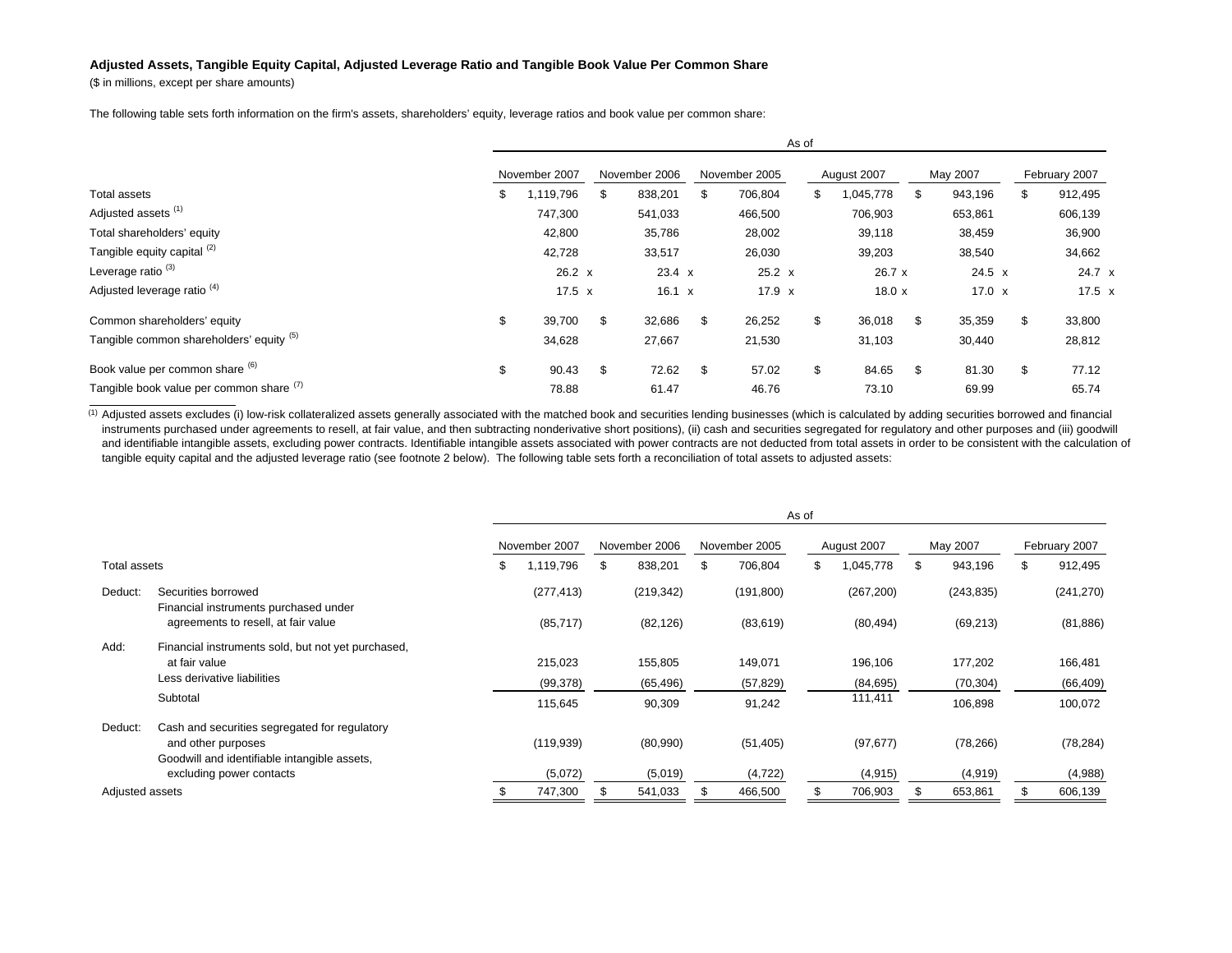## **Adjusted Assets, Tangible Equity Capital, Adjusted Leverage Ratio and Tangible Book Value Per Common Share**

(\$ in millions, except per share amounts)

The following table sets forth information on the firm's assets, shareholders' equity, leverage ratios and book value per common share:

|                                          | As of          |    |               |               |               |             |         |          |               |    |               |  |  |  |
|------------------------------------------|----------------|----|---------------|---------------|---------------|-------------|---------|----------|---------------|----|---------------|--|--|--|
|                                          | November 2007  |    | November 2006 | November 2005 |               | August 2007 |         | May 2007 |               |    | February 2007 |  |  |  |
| Total assets                             | \$<br>,119,796 | \$ | 838,201       | \$            | 706,804       | \$.         | 045,778 | \$       | 943,196       | \$ | 912,495       |  |  |  |
| Adjusted assets <sup>(1)</sup>           | 747,300        |    | 541,033       |               | 466,500       |             | 706,903 |          | 653,861       |    | 606,139       |  |  |  |
| Total shareholders' equity               | 42,800         |    | 35,786        |               | 28,002        |             | 39,118  |          | 38,459        |    | 36,900        |  |  |  |
| Tangible equity capital (2)              | 42,728         |    | 33,517        |               | 26,030        |             | 39,203  |          | 38,540        |    | 34,662        |  |  |  |
| Leverage ratio <sup>(3)</sup>            | $26.2 \times$  |    | $23.4 \times$ |               | $25.2 \times$ |             | 26.7 x  |          | $24.5 \times$ |    | 24.7 x        |  |  |  |
| Adjusted leverage ratio <sup>(4)</sup>   | 17.5 $x$       |    | 16.1 $x$      |               | $17.9 \times$ |             | 18.0x   |          | $17.0 \times$ |    | $17.5 \times$ |  |  |  |
| Common shareholders' equity              | \$<br>39,700   | \$ | 32,686        | \$            | 26,252        | \$          | 36,018  | \$       | 35,359        | \$ | 33,800        |  |  |  |
| Tangible common shareholders' equity (5) | 34,628         |    | 27,667        |               | 21,530        |             | 31,103  |          | 30,440        |    | 28,812        |  |  |  |
| Book value per common share (6)          | \$<br>90.43    | \$ | 72.62         | \$            | 57.02         | \$          | 84.65   | \$       | 81.30         | \$ | 77.12         |  |  |  |
| Tangible book value per common share (1) | 78.88          |    | 61.47         |               | 46.76         |             | 73.10   |          | 69.99         |    | 65.74         |  |  |  |

(1) Adjusted assets excludes (i) low-risk collateralized assets generally associated with the matched book and securities lending businesses (which is calculated by adding securities borrowed and financial instruments purchased under agreements to resell, at fair value, and then subtracting nonderivative short positions), (ii) cash and securities segregated for regulatory and other purposes and (iii) goodwill and identifiable intangible assets, excluding power contracts. Identifiable intangible assets associated with power contracts are not deducted from total assets in order to be consistent with the calculation of tangible equity capital and the adjusted leverage ratio (see footnote 2 below). The following table sets forth a reconciliation of total assets to adjusted assets:

|                             |                                                              | As of |               |    |               |  |               |    |             |    |            |               |            |
|-----------------------------|--------------------------------------------------------------|-------|---------------|----|---------------|--|---------------|----|-------------|----|------------|---------------|------------|
|                             |                                                              |       | November 2007 |    | November 2006 |  | November 2005 |    | August 2007 |    | May 2007   | February 2007 |            |
| Total assets                |                                                              | \$    | 1,119,796     | \$ | 838,201       |  | 706,804       | \$ | 1,045,778   | \$ | 943,196    | \$            | 912,495    |
| Deduct:                     | Securities borrowed<br>Financial instruments purchased under |       | (277, 413)    |    | (219, 342)    |  | (191, 800)    |    | (267, 200)  |    | (243, 835) |               | (241, 270) |
|                             | agreements to resell, at fair value                          |       | (85, 717)     |    | (82, 126)     |  | (83, 619)     |    | (80, 494)   |    | (69, 213)  |               | (81, 886)  |
| Add:                        | Financial instruments sold, but not yet purchased,           |       |               |    |               |  |               |    |             |    |            |               |            |
|                             | at fair value                                                |       | 215,023       |    | 155,805       |  | 149,071       |    | 196,106     |    | 177,202    |               | 166,481    |
| Less derivative liabilities |                                                              |       | (99, 378)     |    | (65, 496)     |  | (57, 829)     |    | (84, 695)   |    | (70, 304)  |               | (66, 409)  |
|                             | Subtotal                                                     |       | 115,645       |    | 90,309        |  | 91,242        |    | 111,411     |    | 106,898    |               | 100,072    |
| Deduct:                     | Cash and securities segregated for regulatory                |       |               |    |               |  |               |    |             |    |            |               |            |
|                             | and other purposes                                           |       | (119, 939)    |    | (80,990)      |  | (51, 405)     |    | (97, 677)   |    | (78, 266)  |               | (78, 284)  |
|                             | Goodwill and identifiable intangible assets,                 |       |               |    |               |  |               |    |             |    |            |               |            |
|                             | excluding power contacts                                     |       | (5,072)       |    | (5,019)       |  | (4, 722)      |    | (4, 915)    |    | (4, 919)   |               | (4,988)    |
| Adjusted assets             |                                                              |       | 747,300       |    | 541,033       |  | 466,500       |    | 706,903     |    | 653,861    |               | 606,139    |